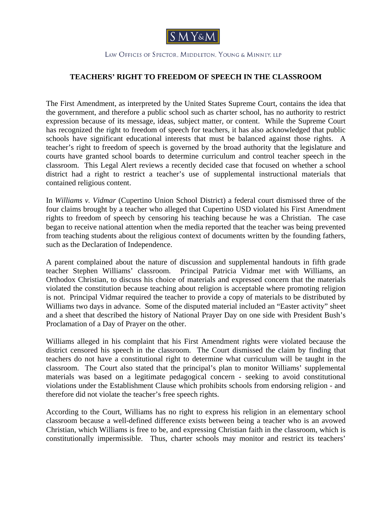

## LAW OFFICES OF SPECTOR, MIDDLETON, YOUNG & MINNEY, LLP

## **TEACHERS' RIGHT TO FREEDOM OF SPEECH IN THE CLASSROOM**

The First Amendment, as interpreted by the United States Supreme Court, contains the idea that the government, and therefore a public school such as charter school, has no authority to restrict expression because of its message, ideas, subject matter, or content. While the Supreme Court has recognized the right to freedom of speech for teachers, it has also acknowledged that public schools have significant educational interests that must be balanced against those rights. A teacher's right to freedom of speech is governed by the broad authority that the legislature and courts have granted school boards to determine curriculum and control teacher speech in the classroom. This Legal Alert reviews a recently decided case that focused on whether a school district had a right to restrict a teacher's use of supplemental instructional materials that contained religious content.

In *Williams v. Vidmar* (Cupertino Union School District) a federal court dismissed three of the four claims brought by a teacher who alleged that Cupertino USD violated his First Amendment rights to freedom of speech by censoring his teaching because he was a Christian. The case began to receive national attention when the media reported that the teacher was being prevented from teaching students about the religious context of documents written by the founding fathers, such as the Declaration of Independence.

A parent complained about the nature of discussion and supplemental handouts in fifth grade teacher Stephen Williams' classroom. Principal Patricia Vidmar met with Williams, an Orthodox Christian, to discuss his choice of materials and expressed concern that the materials violated the constitution because teaching about religion is acceptable where promoting religion is not. Principal Vidmar required the teacher to provide a copy of materials to be distributed by Williams two days in advance. Some of the disputed material included an "Easter activity" sheet and a sheet that described the history of National Prayer Day on one side with President Bush's Proclamation of a Day of Prayer on the other.

Williams alleged in his complaint that his First Amendment rights were violated because the district censored his speech in the classroom. The Court dismissed the claim by finding that teachers do not have a constitutional right to determine what curriculum will be taught in the classroom. The Court also stated that the principal's plan to monitor Williams' supplemental materials was based on a legitimate pedagogical concern - seeking to avoid constitutional violations under the Establishment Clause which prohibits schools from endorsing religion - and therefore did not violate the teacher's free speech rights.

According to the Court, Williams has no right to express his religion in an elementary school classroom because a well-defined difference exists between being a teacher who is an avowed Christian, which Williams is free to be, and expressing Christian faith in the classroom, which is constitutionally impermissible. Thus, charter schools may monitor and restrict its teachers'